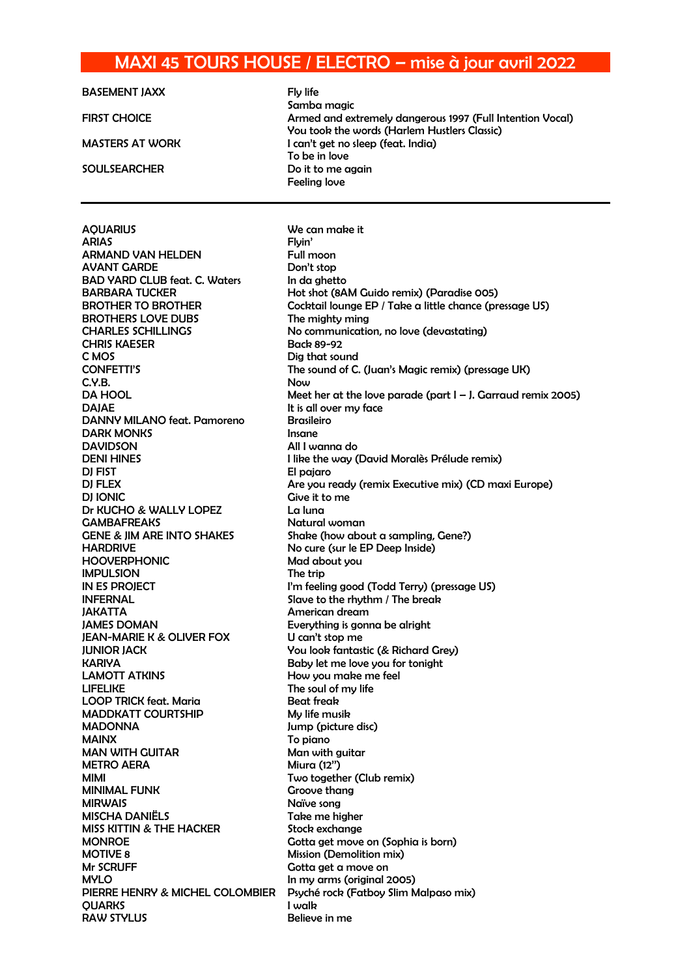## MAXI 45 TOURS HOUSE / ELECTRO – mise à jour avril 2022

| <b>BASEMENT JAXX</b>                  | Fly life                                                        |
|---------------------------------------|-----------------------------------------------------------------|
|                                       | Samba magic                                                     |
| <b>FIRST CHOICE</b>                   | Armed and extremely dangerous 1997 (Full Intention Vocal)       |
|                                       | You took the words (Harlem Hustlers Classic)                    |
| <b>MASTERS AT WORK</b>                | I can't get no sleep (feat. India)                              |
|                                       | To be in love                                                   |
| <b>SOULSEARCHER</b>                   | Do it to me again<br>Feeling love                               |
|                                       |                                                                 |
|                                       |                                                                 |
| <b>AQUARIUS</b>                       | We can make it                                                  |
| <b>ARIAS</b>                          | Flyin'                                                          |
| <b>ARMAND VAN HELDEN</b>              | Full moon                                                       |
| <b>AVANT GARDE</b>                    | Don't stop                                                      |
| <b>BAD YARD CLUB feat. C. Waters</b>  | In da ghetto                                                    |
| <b>BARBARA TUCKER</b>                 | Hot shot (8AM Guido remix) (Paradise 005)                       |
| <b>BROTHER TO BROTHER</b>             | Cocktail lounge EP / Take a little chance (pressage US)         |
| <b>BROTHERS LOVE DUBS</b>             | The mighty ming                                                 |
| <b>CHARLES SCHILLINGS</b>             | No communication, no love (devastating)                         |
| <b>CHRIS KAESER</b>                   | Back 89-92                                                      |
| C MOS                                 | Dig that sound                                                  |
| <b>CONFETTI'S</b>                     | The sound of C. (Juan's Magic remix) (pressage UK)              |
| C.Y.B.                                | Now                                                             |
| <b>DA HOOL</b>                        | Meet her at the love parade (part $I - J$ . Garraud remix 2005) |
| <b>DAJAE</b>                          | It is all over my face                                          |
| DANNY MILANO feat. Pamoreno           | <b>Brasileiro</b>                                               |
| <b>DARK MONKS</b>                     | Insane                                                          |
| <b>DAVIDSON</b>                       | All I wanna do                                                  |
| <b>DENI HINES</b>                     | I like the way (David Moralès Prélude remix)                    |
| DJ FIST                               | El pajaro                                                       |
| <b>DJ FLEX</b>                        | Are you ready (remix Executive mix) (CD maxi Europe)            |
| <b>DI IONIC</b>                       | Give it to me                                                   |
| Dr KUCHO & WALLY LOPEZ                | La luna                                                         |
| <b>GAMBAFREAKS</b>                    | Natural woman                                                   |
| <b>GENE &amp; JIM ARE INTO SHAKES</b> | Shake (how about a sampling, Gene?)                             |
| <b>HARDRIVE</b>                       | No cure (sur le EP Deep Inside)                                 |
| <b>HOOVERPHONIC</b>                   | Mad about you                                                   |

How you make me feel

Gotta get a move on

IMPULSION The trip IN ES PROJECT **I'm feeling good (Todd Terry) (pressage US)** INFERNAL Slave to the rhythm / The break JAKATTA American dream JAMES DOMAN Everything is gonna be alright JEAN-MARIE K & OLIVER FOX U can't stop me JUNIOR JACK You look fantastic (& Richard Grey) KARIYA<br>LAMOTT ATKINS EXAMOTT BABY How you make me feel LIFELIKE The soul of my life LOOP TRICK feat. Maria **Beat freak** MADDKATT COURTSHIP My life musik MADONNA Jump (picture disc) MAINX To piano MAN WITH GUITAR Man with quitar METRO AERA Miura (12") MIMI MIMI Two together (Club remix) MINIMAL FUNK Groove thang MIRWAIS Naïve song MISCHA DANIËLS Take me higher MISS KITTIN & THE HACKER Stock exchange MONROE Gotta get move on (Sophia is born) MOTIVE 8 Mission (Demolition mix)<br>Mr SCRUFF Gotta get a move on MYLO **In my arms (original 2005)** PIERRE HENRY & MICHEL COLOMBIER Psyché rock (Fatboy Slim Malpaso mix) QUARKS I walk RAW STYLUS Believe in me